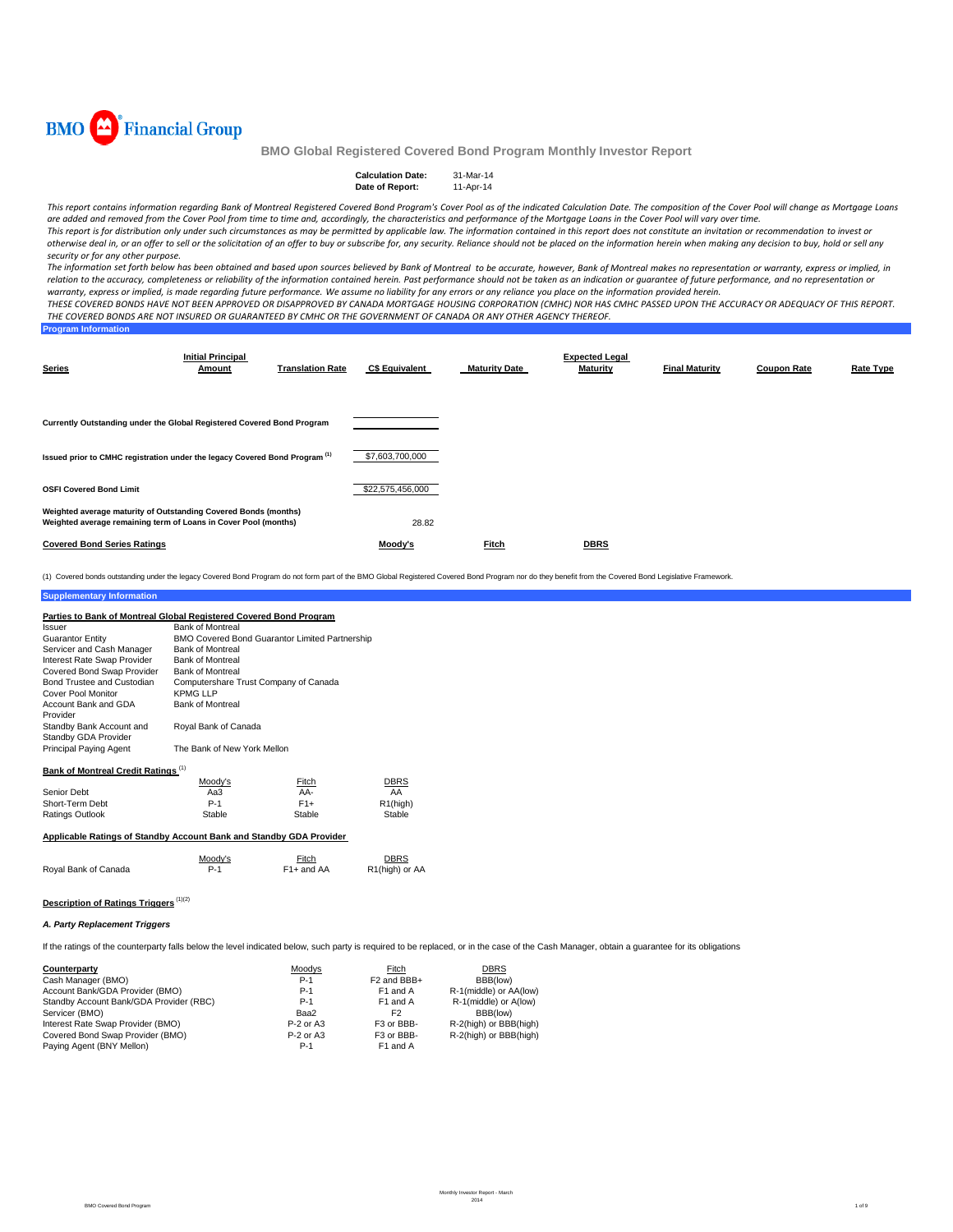

| <b>Calculation Date:</b> | 31-Mar-14 |
|--------------------------|-----------|
| Date of Report:          | 11-Apr-14 |

This report contains information regarding Bank of Montreal Registered Covered Bond Program's Cover Pool as of the indicated Calculation Date. The composition of the Cover Pool will change as Mortgage Loans are added and removed from the Cover Pool from time to time and, accordingly, the characteristics and performance of the Mortgage Loans in the Cover Pool will vary over time. This report is for distribution only under such circumstances as may be permitted by applicable law. The information contained in this report does not constitute an invitation or recommendation to invest or

otherwise deal in, or an offer to sell or the solicitation of an offer to buy or subscribe for, any security. Reliance should not be placed on the information herein when making any decision to buy, hold or sell any *security or for any other purpose.*

The information set forth below has been obtained and based upon sources believed by Bank of Montreal to be accurate, however, Bank of Montreal makes no representation or warranty, express or implied, in relation to the accuracy, completeness or reliability of the information contained herein. Past performance should not be taken as an indication or guarantee of future performance, and no representation or warranty, express or implied, is made regarding future performance. We assume no liability for any errors or any reliance you place on the information provided herein.

THESE COVERED BONDS HAVE NOT BEEN APPROVED OR DISAPPROVED BY CANADA MORTGAGE HOUSING CORPORATION (CMHC) NOR HAS CMHC PASSED UPON THE ACCURACY OR ADEQUACY OF THIS REPORT. THE COVERED BONDS ARE NOT INSURED OR GUARANTEED BY CMHC OR THE GOVERNMENT OF CANADA OR ANY OTHER AGENCY THEREOF.

| <b>Program Information</b> |  |  |
|----------------------------|--|--|
|                            |  |  |
|                            |  |  |

| <b>Series</b>                                                                                                                      | <b>Initial Principal</b><br>Amount | <b>Translation Rate</b> | <b>C\$ Equivalent</b> | <b>Maturity Date</b> | <b>Expected Legal</b><br><b>Maturity</b> | <b>Final Maturity</b> | <b>Coupon Rate</b> | Rate Type |
|------------------------------------------------------------------------------------------------------------------------------------|------------------------------------|-------------------------|-----------------------|----------------------|------------------------------------------|-----------------------|--------------------|-----------|
| Currently Outstanding under the Global Registered Covered Bond Program                                                             |                                    |                         |                       |                      |                                          |                       |                    |           |
| Issued prior to CMHC registration under the legacy Covered Bond Program <sup>(1)</sup>                                             |                                    |                         | \$7,603,700,000       |                      |                                          |                       |                    |           |
| <b>OSFI Covered Bond Limit</b>                                                                                                     |                                    |                         | \$22,575,456,000      |                      |                                          |                       |                    |           |
| Weighted average maturity of Outstanding Covered Bonds (months)<br>Weighted average remaining term of Loans in Cover Pool (months) |                                    |                         | 28.82                 |                      |                                          |                       |                    |           |
| <b>Covered Bond Series Ratings</b>                                                                                                 |                                    |                         | Moodv's               | <b>Fitch</b>         | <b>DBRS</b>                              |                       |                    |           |

(1) Covered bonds outstanding under the legacy Covered Bond Program do not form part of the BMO Global Registered Covered Bond Program nor do they benefit from the Covered Bond Legislative Framework.

#### **Supplementary Information**

| Parties to Bank of Montreal Global Registered Covered Bond Program |                                                       |       |                       |  |  |  |
|--------------------------------------------------------------------|-------------------------------------------------------|-------|-----------------------|--|--|--|
| Issuer                                                             | <b>Bank of Montreal</b>                               |       |                       |  |  |  |
| <b>Guarantor Entity</b>                                            | <b>BMO Covered Bond Guarantor Limited Partnership</b> |       |                       |  |  |  |
| Servicer and Cash Manager                                          | <b>Bank of Montreal</b>                               |       |                       |  |  |  |
| Interest Rate Swap Provider                                        | <b>Bank of Montreal</b>                               |       |                       |  |  |  |
| Covered Bond Swap Provider                                         | <b>Bank of Montreal</b>                               |       |                       |  |  |  |
| Bond Trustee and Custodian                                         | Computershare Trust Company of Canada                 |       |                       |  |  |  |
| Cover Pool Monitor                                                 | <b>KPMG LLP</b>                                       |       |                       |  |  |  |
| Account Bank and GDA                                               | <b>Bank of Montreal</b>                               |       |                       |  |  |  |
| Provider                                                           |                                                       |       |                       |  |  |  |
| Standby Bank Account and                                           | Royal Bank of Canada                                  |       |                       |  |  |  |
| Standby GDA Provider                                               |                                                       |       |                       |  |  |  |
| <b>Principal Paying Agent</b>                                      | The Bank of New York Mellon                           |       |                       |  |  |  |
|                                                                    |                                                       |       |                       |  |  |  |
| <b>Bank of Montreal Credit Ratings (1)</b>                         |                                                       |       |                       |  |  |  |
|                                                                    | Moody's                                               | Fitch | DBRS                  |  |  |  |
| Senior Debt                                                        | АаЗ                                                   | AA-   | AA                    |  |  |  |
| Short-Term Debt                                                    | $P-1$                                                 | $F1+$ | R <sub>1</sub> (high) |  |  |  |
| <b>Ratings Outlook</b>                                             | Stable<br>Stable<br>Stable                            |       |                       |  |  |  |

### **Applicable Ratings of Standby Account Bank and Standby GDA Provider**

|                      | Moodv's | Fitch                   | DBRS           |
|----------------------|---------|-------------------------|----------------|
| Royal Bank of Canada |         | F <sub>1</sub> + and AA | R1(high) or AA |

# **Description of Ratings Triggers** (1)(2)

## *A. Party Replacement Triggers*

If the ratings of the counterparty falls below the level indicated below, such party is required to be replaced, or in the case of the Cash Manager, obtain a guarantee for its obligations

| Counterparty                            | Moodys      | Fitch                   | <b>DBRS</b>            |
|-----------------------------------------|-------------|-------------------------|------------------------|
| Cash Manager (BMO)                      | $P-1$       | F <sub>2</sub> and BBB+ | BBB(low)               |
| Account Bank/GDA Provider (BMO)         | $P-1$       | F1 and A                | R-1(middle) or AA(low) |
| Standby Account Bank/GDA Provider (RBC) | $P-1$       | F1 and A                | R-1(middle) or A(low)  |
| Servicer (BMO)                          | Baa2        | F2                      | BBB(low)               |
| Interest Rate Swap Provider (BMO)       | P-2 or A3   | F <sub>3</sub> or BBB-  | R-2(high) or BBB(high) |
| Covered Bond Swap Provider (BMO)        | $P-2$ or A3 | F3 or BBB-              | R-2(high) or BBB(high) |
| Paying Agent (BNY Mellon)               | $P-1$       | F1 and A                |                        |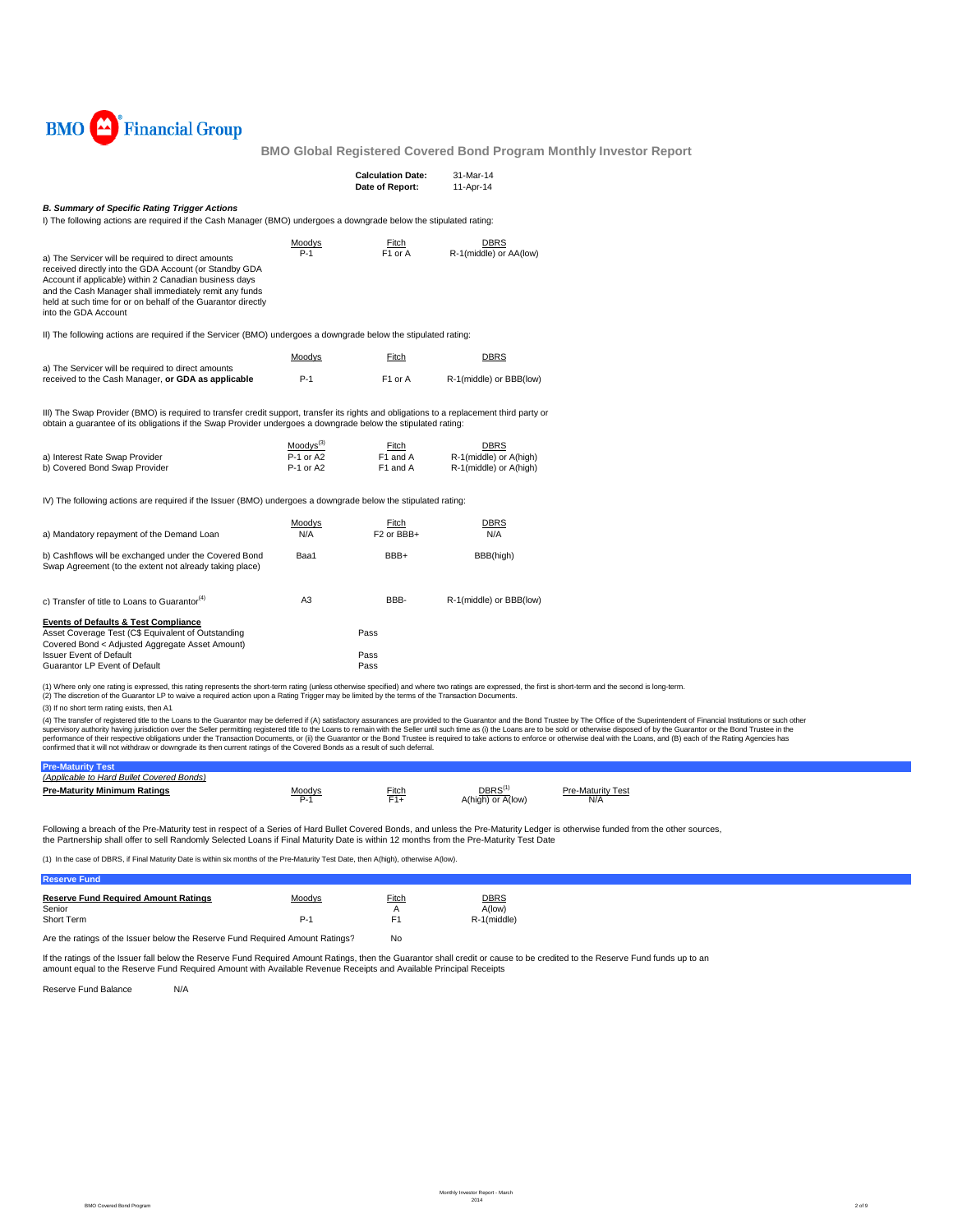

|                                                                                                                                                                                                                                                                                                                                                                                                                                                                                                                                                                                                                                                                                                                                                                                                                                                                                    |                                                 | <b>Calculation Date:</b><br>Date of Report: | 31-Mar-14<br>11-Apr-14                                   |                                                                                                                                                                                                                                |
|------------------------------------------------------------------------------------------------------------------------------------------------------------------------------------------------------------------------------------------------------------------------------------------------------------------------------------------------------------------------------------------------------------------------------------------------------------------------------------------------------------------------------------------------------------------------------------------------------------------------------------------------------------------------------------------------------------------------------------------------------------------------------------------------------------------------------------------------------------------------------------|-------------------------------------------------|---------------------------------------------|----------------------------------------------------------|--------------------------------------------------------------------------------------------------------------------------------------------------------------------------------------------------------------------------------|
| <b>B. Summary of Specific Rating Trigger Actions</b><br>I) The following actions are required if the Cash Manager (BMO) undergoes a downgrade below the stipulated rating:                                                                                                                                                                                                                                                                                                                                                                                                                                                                                                                                                                                                                                                                                                         |                                                 |                                             |                                                          |                                                                                                                                                                                                                                |
| a) The Servicer will be required to direct amounts<br>received directly into the GDA Account (or Standby GDA<br>Account if applicable) within 2 Canadian business days<br>and the Cash Manager shall immediately remit any funds<br>held at such time for or on behalf of the Guarantor directly<br>into the GDA Account                                                                                                                                                                                                                                                                                                                                                                                                                                                                                                                                                           | Moodys<br>$P-1$                                 | Fitch<br>F1 or A                            | DBRS<br>R-1(middle) or AA(low)                           |                                                                                                                                                                                                                                |
| II) The following actions are required if the Servicer (BMO) undergoes a downgrade below the stipulated rating:                                                                                                                                                                                                                                                                                                                                                                                                                                                                                                                                                                                                                                                                                                                                                                    |                                                 |                                             |                                                          |                                                                                                                                                                                                                                |
|                                                                                                                                                                                                                                                                                                                                                                                                                                                                                                                                                                                                                                                                                                                                                                                                                                                                                    | Moodys                                          | Fitch                                       | DBRS                                                     |                                                                                                                                                                                                                                |
| a) The Servicer will be required to direct amounts<br>received to the Cash Manager, or GDA as applicable                                                                                                                                                                                                                                                                                                                                                                                                                                                                                                                                                                                                                                                                                                                                                                           | $P-1$                                           | F <sub>1</sub> or A                         | R-1(middle) or BBB(low)                                  |                                                                                                                                                                                                                                |
| III) The Swap Provider (BMO) is required to transfer credit support, transfer its rights and obligations to a replacement third party or<br>obtain a quarantee of its obligations if the Swap Provider undergoes a downgrade below the stipulated rating:                                                                                                                                                                                                                                                                                                                                                                                                                                                                                                                                                                                                                          |                                                 |                                             |                                                          |                                                                                                                                                                                                                                |
| a) Interest Rate Swap Provider<br>b) Covered Bond Swap Provider                                                                                                                                                                                                                                                                                                                                                                                                                                                                                                                                                                                                                                                                                                                                                                                                                    | Moodvs <sup>(3)</sup><br>P-1 or A2<br>P-1 or A2 | Fitch<br>F1 and A<br>F1 and A               | DBRS<br>R-1(middle) or A(high)<br>R-1(middle) or A(high) |                                                                                                                                                                                                                                |
| IV) The following actions are required if the Issuer (BMO) undergoes a downgrade below the stipulated rating:                                                                                                                                                                                                                                                                                                                                                                                                                                                                                                                                                                                                                                                                                                                                                                      |                                                 |                                             |                                                          |                                                                                                                                                                                                                                |
| a) Mandatory repayment of the Demand Loan                                                                                                                                                                                                                                                                                                                                                                                                                                                                                                                                                                                                                                                                                                                                                                                                                                          | Moodys<br>N/A                                   | Fitch<br>F <sub>2</sub> or BB <sub>+</sub>  | <b>DBRS</b><br>N/A                                       |                                                                                                                                                                                                                                |
| b) Cashflows will be exchanged under the Covered Bond<br>Swap Agreement (to the extent not already taking place)                                                                                                                                                                                                                                                                                                                                                                                                                                                                                                                                                                                                                                                                                                                                                                   | Baa1                                            | BBB+                                        | BBB(high)                                                |                                                                                                                                                                                                                                |
| c) Transfer of title to Loans to Guarantor <sup>(4)</sup>                                                                                                                                                                                                                                                                                                                                                                                                                                                                                                                                                                                                                                                                                                                                                                                                                          | A <sub>3</sub>                                  | BBB-                                        | R-1(middle) or BBB(low)                                  |                                                                                                                                                                                                                                |
| <b>Events of Defaults &amp; Test Compliance</b><br>Asset Coverage Test (C\$ Equivalent of Outstanding<br>Covered Bond < Adjusted Aggregate Asset Amount)<br><b>Issuer Event of Default</b><br>Guarantor LP Event of Default                                                                                                                                                                                                                                                                                                                                                                                                                                                                                                                                                                                                                                                        |                                                 | Pass<br>Pass<br>Pass                        |                                                          |                                                                                                                                                                                                                                |
| (1) Where only one rating is expressed, this rating represents the short-term rating (unless otherwise specified) and where two ratings are expressed, the first is short-term and the second is long-term.<br>(2) The discretion of the Guarantor LP to waive a required action upon a Rating Trigger may be limited by the terms of the Transaction Documents.<br>(3) If no short term rating exists, then A1<br>supervisory authority having jurisdiction over the Seller permitting registered title to the Loans to remain with the Seller until such time as (i) the Loans are to be sold or otherwise disposed of by the Guarantor or the<br>performance of their respective obligations under the Transaction Documents, or (ii) the Guarantor or the Bond Trustee is required to take actions to enforce or otherwise deal with the Loans, and (B) each of the Rating Age |                                                 |                                             |                                                          | (4) The transfer of registered title to the Loans to the Guarantor may be deferred if (A) satisfactory assurances are provided to the Guarantor and the Bond Trustee by The Office of the Superintendent of Financial Institut |
| confirmed that it will not withdraw or downgrade its then current ratings of the Covered Bonds as a result of such deferral.                                                                                                                                                                                                                                                                                                                                                                                                                                                                                                                                                                                                                                                                                                                                                       |                                                 |                                             |                                                          |                                                                                                                                                                                                                                |

| (Applicable to Hard Bullet Covered Bonds) |        |              |                           |                                 |  |
|-------------------------------------------|--------|--------------|---------------------------|---------------------------------|--|
| Pre-Maturity Minimum Ratings              | Moodys | <b>Fitch</b> | DBRS<br>A(high) or A(low) | <b>Pre-Maturity Test</b><br>N/A |  |
|                                           |        |              |                           |                                 |  |

Following a breach of the Pre-Maturity test in respect of a Series of Hard Bullet Covered Bonds, and unless the Pre-Maturity Ledger is otherwise funded from the other sources, the Partnership shall offer to sell Randomly Selected Loans if Final Maturity Date is within 12 months from the Pre-Maturity Test Date

(1) In the case of DBRS, if Final Maturity Date is within six months of the Pre-Maturity Test Date, then A(high), otherwise A(low).

| <b>Reserve Fund</b>                         |        |                |             |
|---------------------------------------------|--------|----------------|-------------|
| <b>Reserve Fund Required Amount Ratings</b> | Moodys | Fitch          | <b>DBRS</b> |
| Senior                                      |        | А              | A(low)      |
| Short Term                                  | P-1    | F <sub>1</sub> | R-1(middle) |
|                                             |        |                |             |

Are the ratings of the Issuer below the Reserve Fund Required Amount Ratings? No

lf the ratings of the Issuer fall below the Reserve Fund Required Amount Ratings, then the Guarantor shall credit cr cause to be credited to the Reserve Fund funds up to an<br>amount equal to the Reserve Fund Required Amount

Reserve Fund Balance N/A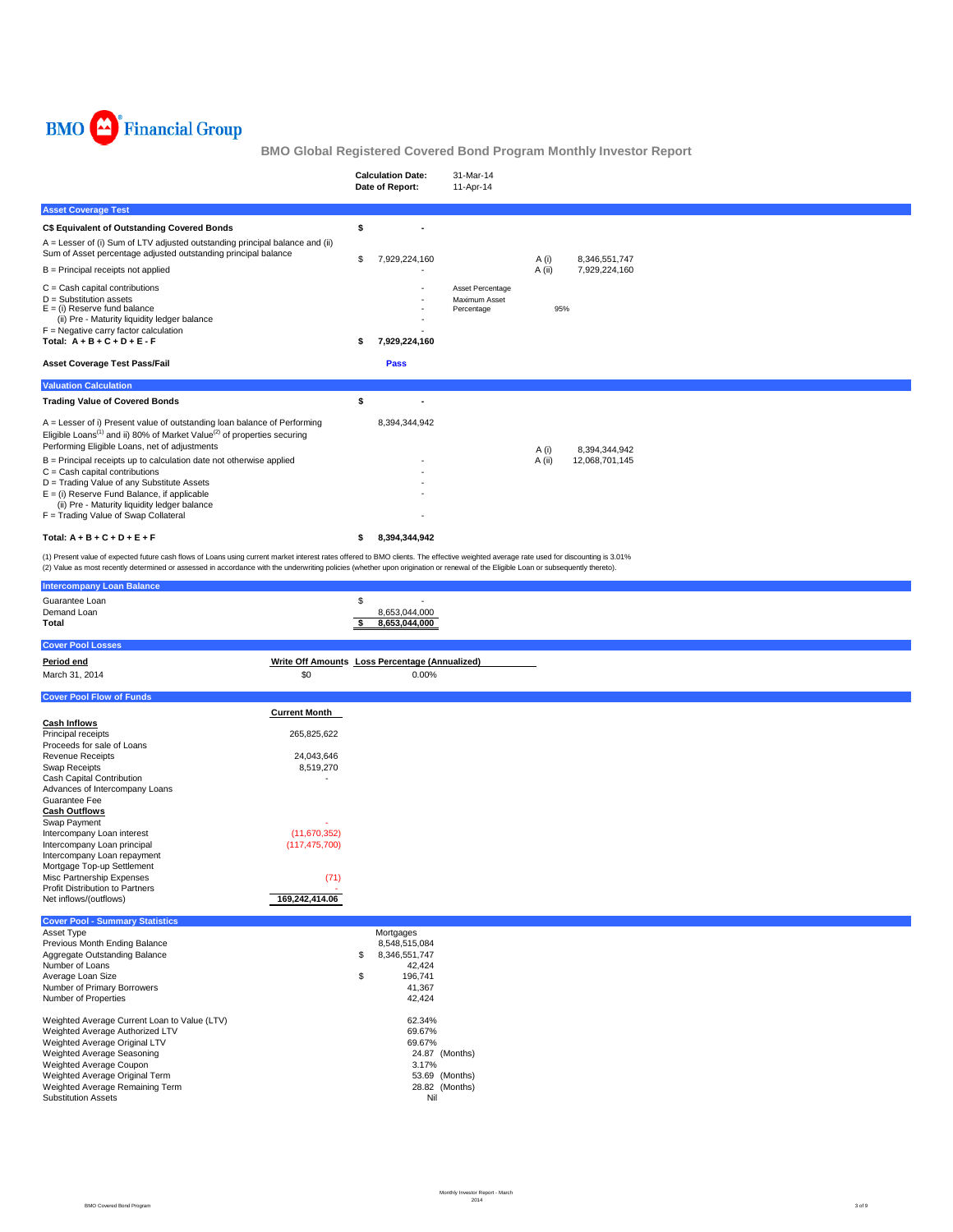

|                                                                                                                                                                                                                                                                                                                                                                                         |                                                                | <b>Calculation Date:</b><br>Date of Report:                                                      | 31-Mar-14<br>11-Apr-14                          |                 |                                 |  |
|-----------------------------------------------------------------------------------------------------------------------------------------------------------------------------------------------------------------------------------------------------------------------------------------------------------------------------------------------------------------------------------------|----------------------------------------------------------------|--------------------------------------------------------------------------------------------------|-------------------------------------------------|-----------------|---------------------------------|--|
| <b>Asset Coverage Test</b>                                                                                                                                                                                                                                                                                                                                                              |                                                                |                                                                                                  |                                                 |                 |                                 |  |
| C\$ Equivalent of Outstanding Covered Bonds<br>A = Lesser of (i) Sum of LTV adjusted outstanding principal balance and (ii)<br>Sum of Asset percentage adjusted outstanding principal balance<br>$B =$ Principal receipts not applied                                                                                                                                                   |                                                                | \$<br>\$<br>7,929,224,160                                                                        |                                                 | A (i)<br>A (ii) | 8,346,551,747<br>7,929,224,160  |  |
| $C = Cash$ capital contributions<br>$D =$ Substitution assets<br>$E =$ (i) Reserve fund balance<br>(ii) Pre - Maturity liquidity ledger balance<br>$F =$ Negative carry factor calculation<br>Total: $A + B + C + D + E - F$<br><b>Asset Coverage Test Pass/Fail</b>                                                                                                                    |                                                                | 7,929,224,160<br>\$<br>Pass                                                                      | Asset Percentage<br>Maximum Asset<br>Percentage | 95%             |                                 |  |
| <b>Valuation Calculation</b>                                                                                                                                                                                                                                                                                                                                                            |                                                                |                                                                                                  |                                                 |                 |                                 |  |
| <b>Trading Value of Covered Bonds</b>                                                                                                                                                                                                                                                                                                                                                   |                                                                | \$                                                                                               |                                                 |                 |                                 |  |
| A = Lesser of i) Present value of outstanding loan balance of Performing<br>Eligible Loans <sup>(1)</sup> and ii) 80% of Market Value <sup>(2)</sup> of properties securing<br>Performing Eligible Loans, net of adjustments<br>$B =$ Principal receipts up to calculation date not otherwise applied<br>$C = Cash$ capital contributions<br>D = Trading Value of any Substitute Assets |                                                                | 8,394,344,942                                                                                    |                                                 | A (i)<br>A (ii) | 8,394,344,942<br>12,068,701,145 |  |
| $E =$ (i) Reserve Fund Balance, if applicable<br>(ii) Pre - Maturity liquidity ledger balance<br>F = Trading Value of Swap Collateral                                                                                                                                                                                                                                                   |                                                                |                                                                                                  |                                                 |                 |                                 |  |
| Total: $A + B + C + D + E + F$                                                                                                                                                                                                                                                                                                                                                          |                                                                | 8,394,344,942<br>\$                                                                              |                                                 |                 |                                 |  |
| (1) Present value of expected future cash flows of Loans using current market interest rates offered to BMO clients. The effective weighted average rate used for discounting is 3.01%<br>(2) Value as most recently determined or assessed in accordance with the underwriting policies (whether upon origination or renewal of the Eligible Loan or subsequently thereto).            |                                                                |                                                                                                  |                                                 |                 |                                 |  |
| <b>Intercompany Loan Balance</b>                                                                                                                                                                                                                                                                                                                                                        |                                                                |                                                                                                  |                                                 |                 |                                 |  |
| Guarantee Loan<br>Demand Loan<br>Total                                                                                                                                                                                                                                                                                                                                                  |                                                                | \$<br>8,653,044,000<br>\$<br>8,653,044,000                                                       |                                                 |                 |                                 |  |
| <b>Cover Pool Losses</b>                                                                                                                                                                                                                                                                                                                                                                |                                                                |                                                                                                  |                                                 |                 |                                 |  |
| Period end<br>March 31, 2014                                                                                                                                                                                                                                                                                                                                                            | \$0                                                            | Write Off Amounts Loss Percentage (Annualized)<br>0.00%                                          |                                                 |                 |                                 |  |
| <b>Cover Pool Flow of Funds</b>                                                                                                                                                                                                                                                                                                                                                         |                                                                |                                                                                                  |                                                 |                 |                                 |  |
| <b>Cash Inflows</b><br>Principal receipts<br>Proceeds for sale of Loans<br><b>Revenue Receipts</b><br>Swap Receipts<br>Cash Capital Contribution<br>Advances of Intercompany Loans                                                                                                                                                                                                      | <b>Current Month</b><br>265,825,622<br>24,043,646<br>8,519,270 |                                                                                                  |                                                 |                 |                                 |  |
| Guarantee Fee<br><b>Cash Outflows</b>                                                                                                                                                                                                                                                                                                                                                   |                                                                |                                                                                                  |                                                 |                 |                                 |  |
| Swap Payment<br>Intercompany Loan interest<br>Intercompany Loan principal<br>Intercompany Loan repayment<br>Mortgage Top-up Settlement<br>Misc Partnership Expenses<br>Profit Distribution to Partners<br>Net inflows/(outflows)                                                                                                                                                        | (11,670,352)<br>(117, 475, 700)<br>(71)<br>169,242,414.06      |                                                                                                  |                                                 |                 |                                 |  |
| <b>Cover Pool - Summary Statistics</b>                                                                                                                                                                                                                                                                                                                                                  |                                                                |                                                                                                  |                                                 |                 |                                 |  |
| Asset Type<br>Previous Month Ending Balance<br>Aggregate Outstanding Balance<br>Number of Loans<br>Average Loan Size<br>Number of Primary Borrowers<br>Number of Properties                                                                                                                                                                                                             |                                                                | Mortgages<br>8,548,515,084<br>\$<br>8,346,551,747<br>42,424<br>\$<br>196,741<br>41,367<br>42,424 |                                                 |                 |                                 |  |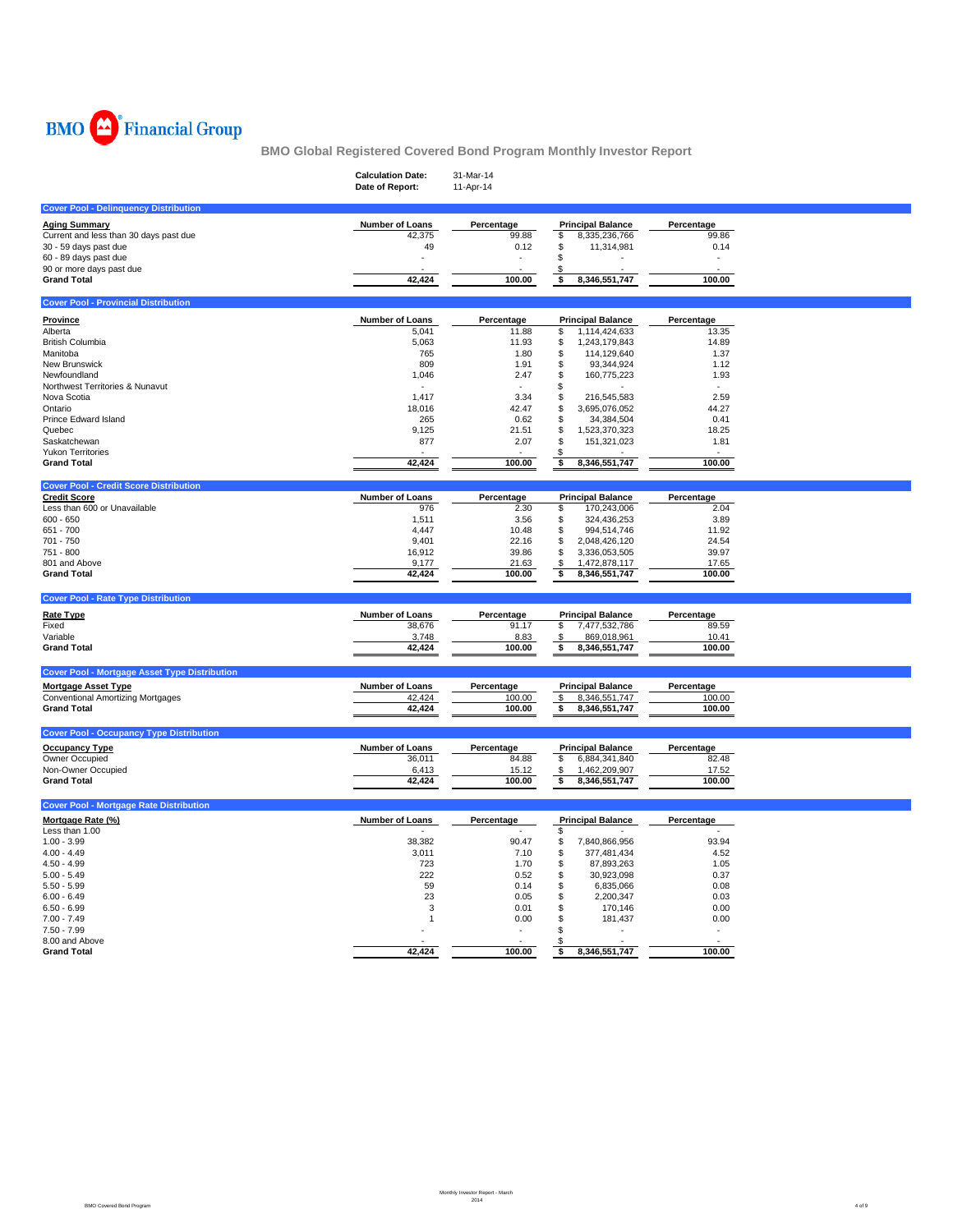

|                                                                      | <b>Calculation Date:</b><br>Date of Report: | 31-Mar-14<br>11-Apr-14 |                                            |                          |  |
|----------------------------------------------------------------------|---------------------------------------------|------------------------|--------------------------------------------|--------------------------|--|
| <b>Cover Pool - Delinquency Distribution</b>                         |                                             |                        |                                            |                          |  |
| <b>Aging Summary</b>                                                 | Number of Loans                             | Percentage             | <b>Principal Balance</b>                   | Percentage               |  |
| Current and less than 30 days past due                               | 42,375                                      | 99.88                  | \$<br>8,335,236,766                        | 99.86                    |  |
| 30 - 59 days past due                                                | 49                                          | 0.12                   | \$<br>11,314,981                           | 0.14                     |  |
| 60 - 89 days past due                                                |                                             | ÷,                     | \$                                         | $\overline{\phantom{a}}$ |  |
| 90 or more days past due<br><b>Grand Total</b>                       | 42,424                                      | 100.00                 | \$<br>\$<br>8,346,551,747                  | 100.00                   |  |
|                                                                      |                                             |                        |                                            |                          |  |
| <b>Cover Pool - Provincial Distribution</b>                          |                                             |                        |                                            |                          |  |
| <b>Province</b>                                                      | <b>Number of Loans</b>                      | Percentage             | <b>Principal Balance</b>                   | Percentage               |  |
| Alberta                                                              | 5,041                                       | 11.88                  | 1,114,424,633<br>\$                        | 13.35                    |  |
| <b>British Columbia</b>                                              | 5,063                                       | 11.93                  | \$<br>1,243,179,843                        | 14.89                    |  |
| Manitoba<br>New Brunswick                                            | 765<br>809                                  | 1.80<br>1.91           | \$<br>114,129,640<br>\$<br>93,344,924      | 1.37<br>1.12             |  |
| Newfoundland                                                         | 1,046                                       | 2.47                   | \$<br>160,775,223                          | 1.93                     |  |
| Northwest Territories & Nunavut                                      |                                             | $\sim$                 | \$                                         |                          |  |
| Nova Scotia                                                          | 1,417                                       | 3.34                   | \$<br>216,545,583                          | 2.59                     |  |
| Ontario                                                              | 18,016                                      | 42.47                  | \$<br>3,695,076,052                        | 44.27                    |  |
| Prince Edward Island                                                 | 265                                         | 0.62                   | \$<br>34,384,504                           | 0.41                     |  |
| Quebec<br>Saskatchewan                                               | 9,125<br>877                                | 21.51                  | \$<br>1,523,370,323<br>\$                  | 18.25                    |  |
| <b>Yukon Territories</b>                                             |                                             | 2.07                   | 151,321,023<br>\$                          | 1.81                     |  |
| <b>Grand Total</b>                                                   | 42,424                                      | 100.00                 | \$<br>8,346,551,747                        | 100.00                   |  |
|                                                                      |                                             |                        |                                            |                          |  |
| <b>Cover Pool - Credit Score Distribution</b><br><b>Credit Score</b> | Number of Loans                             | Percentage             | <b>Principal Balance</b>                   | Percentage               |  |
| Less than 600 or Unavailable                                         | 976                                         | 2.30                   | \$<br>170,243,006                          | 2.04                     |  |
| $600 - 650$                                                          | 1,511                                       | 3.56                   | \$<br>324,436,253                          | 3.89                     |  |
| 651 - 700                                                            | 4,447                                       | 10.48                  | \$<br>994,514,746                          | 11.92                    |  |
| 701 - 750                                                            | 9,401                                       | 22.16                  | \$<br>2,048,426,120                        | 24.54                    |  |
| 751 - 800                                                            | 16.912                                      | 39.86                  | \$<br>3,336,053,505                        | 39.97                    |  |
| 801 and Above<br><b>Grand Total</b>                                  | 9,177<br>42,424                             | 21.63<br>100.00        | \$<br>1,472,878,117<br>\$<br>8,346,551,747 | 17.65<br>100.00          |  |
|                                                                      |                                             |                        |                                            |                          |  |
| <b>Cover Pool - Rate Type Distribution</b>                           |                                             |                        |                                            |                          |  |
| <b>Rate Type</b>                                                     | Number of Loans                             | Percentage             | <b>Principal Balance</b>                   | Percentage               |  |
| Fixed                                                                | 38,676                                      | 91.17                  | \$<br>7,477,532,786                        | 89.59                    |  |
| Variable                                                             | 3,748                                       | 8.83                   | \$<br>869,018,961                          | 10.41                    |  |
| <b>Grand Total</b>                                                   | 42,424                                      | 100.00                 | \$<br>8,346,551,747                        | 100.00                   |  |
| <b>Cover Pool - Mortgage Asset Type Distribution</b>                 |                                             |                        |                                            |                          |  |
| <b>Mortgage Asset Type</b>                                           | Number of Loans                             | Percentage             | <b>Principal Balance</b>                   | Percentage               |  |
| <b>Conventional Amortizing Mortgages</b>                             | 42,424                                      | 100.00                 | \$<br>8,346,551,747                        | 100.00                   |  |
| <b>Grand Total</b>                                                   | 42,424                                      | 100.00                 | 8,346,551,747<br>\$                        | 100.00                   |  |
|                                                                      |                                             |                        |                                            |                          |  |
| <b>Cover Pool - Occupancy Type Distribution</b>                      |                                             |                        |                                            |                          |  |
| <b>Occupancy Type</b>                                                | Number of Loans                             | Percentage             | <b>Principal Balance</b>                   | Percentage               |  |
| Owner Occupied<br>Non-Owner Occupied                                 | 36,011<br>6,413                             | 84.88<br>15.12         | \$<br>6,884,341,840<br>1,462,209,907<br>\$ | 82.48<br>17.52           |  |
| <b>Grand Total</b>                                                   | 42,424                                      | 100.00                 | \$<br>8,346,551,747                        | 100.00                   |  |
|                                                                      |                                             |                        |                                            |                          |  |
| <b>Cover Pool - Mortgage Rate Distribution</b>                       |                                             |                        |                                            |                          |  |
| Mortgage Rate (%)                                                    | Number of Loans                             | Percentage             | <b>Principal Balance</b>                   | Percentage               |  |
| Less than 1.00                                                       |                                             |                        | \$<br>\$                                   | 93.94                    |  |
| $1.00 - 3.99$<br>$4.00 - 4.49$                                       | 38,382<br>3,011                             | 90.47<br>7.10          | 7,840,866,956<br>\$<br>377,481,434         | 4.52                     |  |
| $4.50 - 4.99$                                                        | 723                                         | 1.70                   | \$<br>87,893,263                           | 1.05                     |  |
| $5.00 - 5.49$                                                        | 222                                         | 0.52                   | \$<br>30,923,098                           | 0.37                     |  |
| $5.50 - 5.99$                                                        | 59                                          | 0.14                   | \$<br>6,835,066                            | 0.08                     |  |
| $6.00 - 6.49$                                                        | 23                                          | 0.05                   | \$<br>2,200,347                            | 0.03                     |  |
| $6.50 - 6.99$                                                        | 3                                           | 0.01                   | \$<br>170,146                              | 0.00                     |  |
| $7.00 - 7.49$<br>$7.50 - 7.99$                                       | $\mathbf{1}$                                | 0.00                   | \$<br>181,437<br>\$                        | 0.00<br>$\overline{a}$   |  |
| 8.00 and Above                                                       |                                             |                        | \$                                         |                          |  |
| <b>Grand Total</b>                                                   | 42,424                                      | 100.00                 | 8,346,551,747<br>\$                        | 100.00                   |  |
|                                                                      |                                             |                        |                                            |                          |  |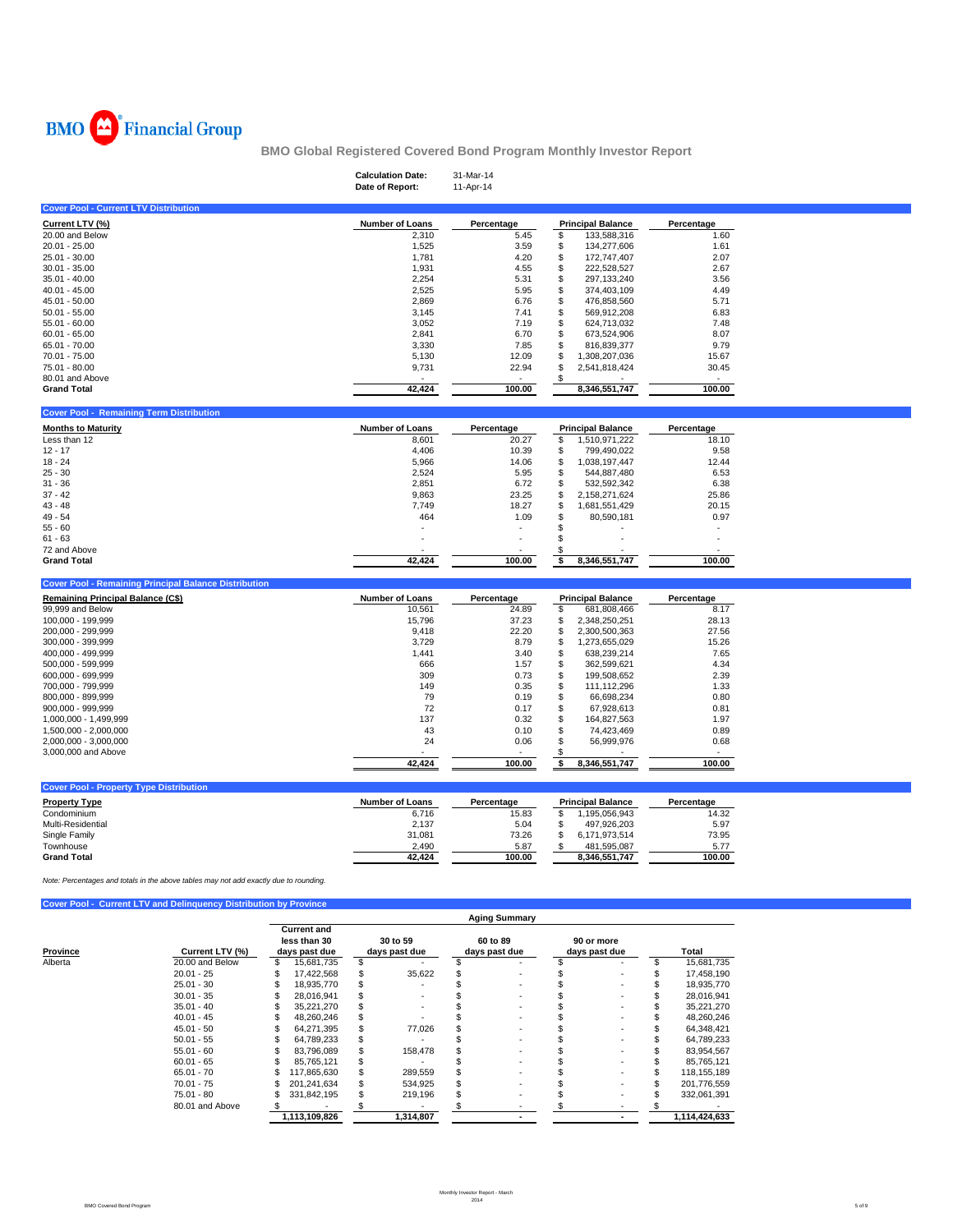

|                                                                                       |                              |                                        | <b>Calculation Date:</b><br>Date of Report: | 31-Mar-14<br>11-Apr-14 |                                                 |                                        |  |
|---------------------------------------------------------------------------------------|------------------------------|----------------------------------------|---------------------------------------------|------------------------|-------------------------------------------------|----------------------------------------|--|
| <b>Cover Pool - Current LTV Distribution</b>                                          |                              |                                        |                                             |                        |                                                 |                                        |  |
| Current LTV (%)                                                                       |                              |                                        | <b>Number of Loans</b>                      | Percentage             | <b>Principal Balance</b>                        | Percentage                             |  |
| 20.00 and Below                                                                       |                              |                                        | 2,310                                       | 5.45                   | \$<br>133,588,316                               | 1.60                                   |  |
| 20.01 - 25.00                                                                         |                              |                                        | 1,525                                       | 3.59                   | \$<br>134,277,606                               | 1.61                                   |  |
| 25.01 - 30.00                                                                         |                              |                                        | 1,781                                       | 4.20                   | \$<br>172,747,407                               | 2.07                                   |  |
| $30.01 - 35.00$                                                                       |                              |                                        | 1,931                                       | 4.55                   | \$<br>222,528,527                               | 2.67                                   |  |
| $35.01 - 40.00$<br>$40.01 - 45.00$                                                    |                              |                                        | 2,254<br>2,525                              | 5.31<br>5.95           | \$<br>297,133,240<br>\$<br>374,403,109          | 3.56<br>4.49                           |  |
| 45.01 - 50.00                                                                         |                              |                                        | 2,869                                       | 6.76                   | \$<br>476,858,560                               | 5.71                                   |  |
| $50.01 - 55.00$                                                                       |                              |                                        | 3,145                                       | 7.41                   | \$<br>569,912,208                               | 6.83                                   |  |
| $55.01 - 60.00$                                                                       |                              |                                        | 3,052                                       | 7.19                   | \$<br>624,713,032                               | 7.48                                   |  |
| $60.01 - 65.00$                                                                       |                              |                                        | 2,841                                       | 6.70                   | \$<br>673,524,906                               | 8.07                                   |  |
| 65.01 - 70.00                                                                         |                              |                                        | 3,330                                       | 7.85                   | \$<br>816,839,377                               | 9.79                                   |  |
| 70.01 - 75.00<br>75.01 - 80.00                                                        |                              |                                        | 5,130<br>9,731                              | 12.09<br>22.94         | \$<br>1,308,207,036<br>\$<br>2,541,818,424      | 15.67<br>30.45                         |  |
| 80.01 and Above                                                                       |                              |                                        |                                             |                        | $\sqrt{3}$                                      |                                        |  |
| <b>Grand Total</b>                                                                    |                              |                                        | 42,424                                      | 100.00                 | 8,346,551,747                                   | 100.00                                 |  |
|                                                                                       |                              |                                        |                                             |                        |                                                 |                                        |  |
| <b>Cover Pool - Remaining Term Distribution</b>                                       |                              |                                        |                                             |                        |                                                 |                                        |  |
| <b>Months to Maturity</b>                                                             |                              |                                        | <b>Number of Loans</b>                      | Percentage             | <b>Principal Balance</b>                        | Percentage                             |  |
| Less than 12                                                                          |                              |                                        | 8,601                                       | 20.27                  | \$<br>1,510,971,222                             | 18.10                                  |  |
| $12 - 17$                                                                             |                              |                                        | 4,406                                       | 10.39                  | \$<br>799,490,022                               | 9.58                                   |  |
| 18 - 24<br>25 - 30                                                                    |                              |                                        | 5,966<br>2,524                              | 14.06<br>5.95          | \$<br>1,038,197,447<br>\$<br>544,887,480        | 12.44<br>6.53                          |  |
| $31 - 36$                                                                             |                              |                                        | 2,851                                       | 6.72                   | \$<br>532,592,342                               | 6.38                                   |  |
| $37 - 42$                                                                             |                              |                                        | 9,863                                       | 23.25                  | \$<br>2,158,271,624                             | 25.86                                  |  |
| $43 - 48$                                                                             |                              |                                        | 7,749                                       | 18.27                  | \$<br>1,681,551,429                             | 20.15                                  |  |
| 49 - 54                                                                               |                              |                                        | 464                                         | 1.09                   | \$<br>80,590,181                                | 0.97                                   |  |
| $55 - 60$                                                                             |                              |                                        |                                             |                        | \$                                              |                                        |  |
| $61 - 63$<br>72 and Above                                                             |                              |                                        |                                             |                        | \$                                              | ÷                                      |  |
| <b>Grand Total</b>                                                                    |                              |                                        | 42,424                                      | 100.00                 | \$<br>\$<br>8,346,551,747                       | 100.00                                 |  |
|                                                                                       |                              |                                        |                                             |                        |                                                 |                                        |  |
| <b>Cover Pool - Remaining Principal Balance Distribution</b>                          |                              |                                        |                                             |                        |                                                 |                                        |  |
| <b>Remaining Principal Balance (C\$)</b>                                              |                              |                                        | <b>Number of Loans</b>                      | Percentage             | <b>Principal Balance</b>                        | Percentage                             |  |
| 99,999 and Below                                                                      |                              |                                        | 10,561                                      | 24.89                  | \$<br>681,808,466                               | 8.17                                   |  |
| 100,000 - 199,999<br>200,000 - 299,999                                                |                              |                                        | 15,796<br>9,418                             | 37.23<br>22.20         | \$<br>2,348,250,251<br>\$<br>2,300,500,363      | 28.13<br>27.56                         |  |
| 300,000 - 399,999                                                                     |                              |                                        | 3,729                                       | 8.79                   | \$<br>1,273,655,029                             | 15.26                                  |  |
| 400,000 - 499,999                                                                     |                              |                                        | 1,441                                       | 3.40                   | \$<br>638,239,214                               | 7.65                                   |  |
| 500,000 - 599,999                                                                     |                              |                                        | 666                                         | 1.57                   | \$<br>362,599,621                               | 4.34                                   |  |
| 600,000 - 699,999                                                                     |                              |                                        | 309                                         | 0.73                   | \$<br>199,508,652                               | 2.39                                   |  |
| 700,000 - 799,999                                                                     |                              |                                        | 149                                         | 0.35                   | \$<br>111,112,296                               | 1.33                                   |  |
| 800,000 - 899,999                                                                     |                              |                                        | 79                                          | 0.19                   | \$<br>66,698,234                                | 0.80                                   |  |
| 900,000 - 999,999<br>1,000,000 - 1,499,999                                            |                              |                                        | 72<br>137                                   | 0.17<br>0.32           | \$<br>67,928,613<br>\$<br>164,827,563           | 0.81<br>1.97                           |  |
| 1,500,000 - 2,000,000                                                                 |                              |                                        | 43                                          | 0.10                   | \$<br>74,423,469                                | 0.89                                   |  |
| 2,000,000 - 3,000,000                                                                 |                              |                                        | 24                                          | 0.06                   | \$<br>56,999,976                                | 0.68                                   |  |
| 3,000,000 and Above                                                                   |                              |                                        |                                             |                        | \$                                              |                                        |  |
|                                                                                       |                              |                                        | 42,424                                      | 100.00                 | \$<br>8,346,551,747                             | 100.00                                 |  |
| <b>Cover Pool - Property Type Distribution</b>                                        |                              |                                        |                                             |                        |                                                 |                                        |  |
| <b>Property Type</b>                                                                  |                              |                                        | Number of Loans                             | Percentage             |                                                 |                                        |  |
| Condominium                                                                           |                              |                                        | 6,716                                       | 15.83                  | <b>Principal Balance</b><br>1,195,056,943<br>\$ | Percentage<br>14.32                    |  |
| Multi-Residential                                                                     |                              |                                        | 2,137                                       | 5.04                   | \$<br>497,926,203                               | 5.97                                   |  |
| Single Family                                                                         |                              |                                        | 31,081                                      | 73.26                  | \$<br>6,171,973,514                             | 73.95                                  |  |
| Townhouse                                                                             |                              |                                        | 2,490                                       | 5.87                   | \$<br>481,595,087                               | 5.77                                   |  |
| <b>Grand Total</b>                                                                    |                              |                                        | 42,424                                      | 100.00                 | 8,346,551,747                                   | 100.00                                 |  |
| Note: Percentages and totals in the above tables may not add exactly due to rounding. |                              |                                        |                                             |                        |                                                 |                                        |  |
|                                                                                       |                              |                                        |                                             |                        |                                                 |                                        |  |
| <b>Cover Pool - Current LTV and Delinguency Distribution by Province</b>              |                              |                                        |                                             |                        |                                                 |                                        |  |
|                                                                                       |                              | <b>Current and</b>                     |                                             | <b>Aging Summary</b>   |                                                 |                                        |  |
|                                                                                       |                              | less than 30                           | 30 to 59                                    | 60 to 89               | 90 or more                                      |                                        |  |
| Province                                                                              | Current LTV (%)              | days past due                          | days past due                               | days past due          | days past due                                   | <b>Total</b>                           |  |
| Alberta                                                                               | 20.00 and Below              | \$<br>15,681,735                       | \$                                          | \$                     | \$                                              | \$<br>15,681,735                       |  |
|                                                                                       | $20.01 - 25$                 | \$<br>17,422,568                       | \$<br>35,622                                | \$                     | \$                                              | \$<br>17,458,190                       |  |
|                                                                                       | $25.01 - 30$<br>$30.01 - 35$ | \$<br>18,935,770<br>\$<br>28,016,941   | \$<br>\$                                    | \$<br>\$               | \$<br>\$                                        | \$<br>18,935,770<br>\$<br>28,016,941   |  |
|                                                                                       | $35.01 - 40$                 | \$<br>35,221,270                       | \$                                          | \$                     | \$                                              | \$<br>35,221,270                       |  |
|                                                                                       | $40.01 - 45$                 | \$<br>48,260,246                       | \$                                          | \$                     | \$                                              | \$<br>48,260,246                       |  |
|                                                                                       | $45.01 - 50$                 | \$<br>64,271,395                       | \$<br>77,026                                | \$                     | \$                                              | \$<br>64,348,421                       |  |
|                                                                                       | $50.01 - 55$                 | \$<br>64,789,233                       | \$                                          | \$                     | \$                                              | \$<br>64,789,233                       |  |
|                                                                                       | $55.01 - 60$                 | \$<br>83,796,089                       | \$<br>158,478                               | \$                     | \$                                              | \$<br>83,954,567                       |  |
|                                                                                       | $60.01 - 65$<br>$65.01 - 70$ | \$<br>85,765,121                       | \$<br>289,559                               | \$<br>\$               | \$<br>\$                                        | \$<br>85,765,121                       |  |
|                                                                                       | $70.01 - 75$                 | \$<br>117,865,630<br>\$<br>201,241,634 | \$<br>\$<br>534,925                         | \$                     | \$                                              | \$<br>118,155,189<br>\$<br>201,776,559 |  |
|                                                                                       | 75.01 - 80                   | \$<br>331,842,195                      | \$<br>219,196                               | \$                     | \$                                              | \$<br>332,061,391                      |  |
|                                                                                       | 80.01 and Above              | -\$                                    | \$                                          | \$                     | \$                                              | \$                                     |  |
|                                                                                       |                              | 1,113,109,826                          | 1,314,807                                   | $\blacksquare$         | $\blacksquare$                                  | 1,114,424,633                          |  |
|                                                                                       |                              |                                        |                                             |                        |                                                 |                                        |  |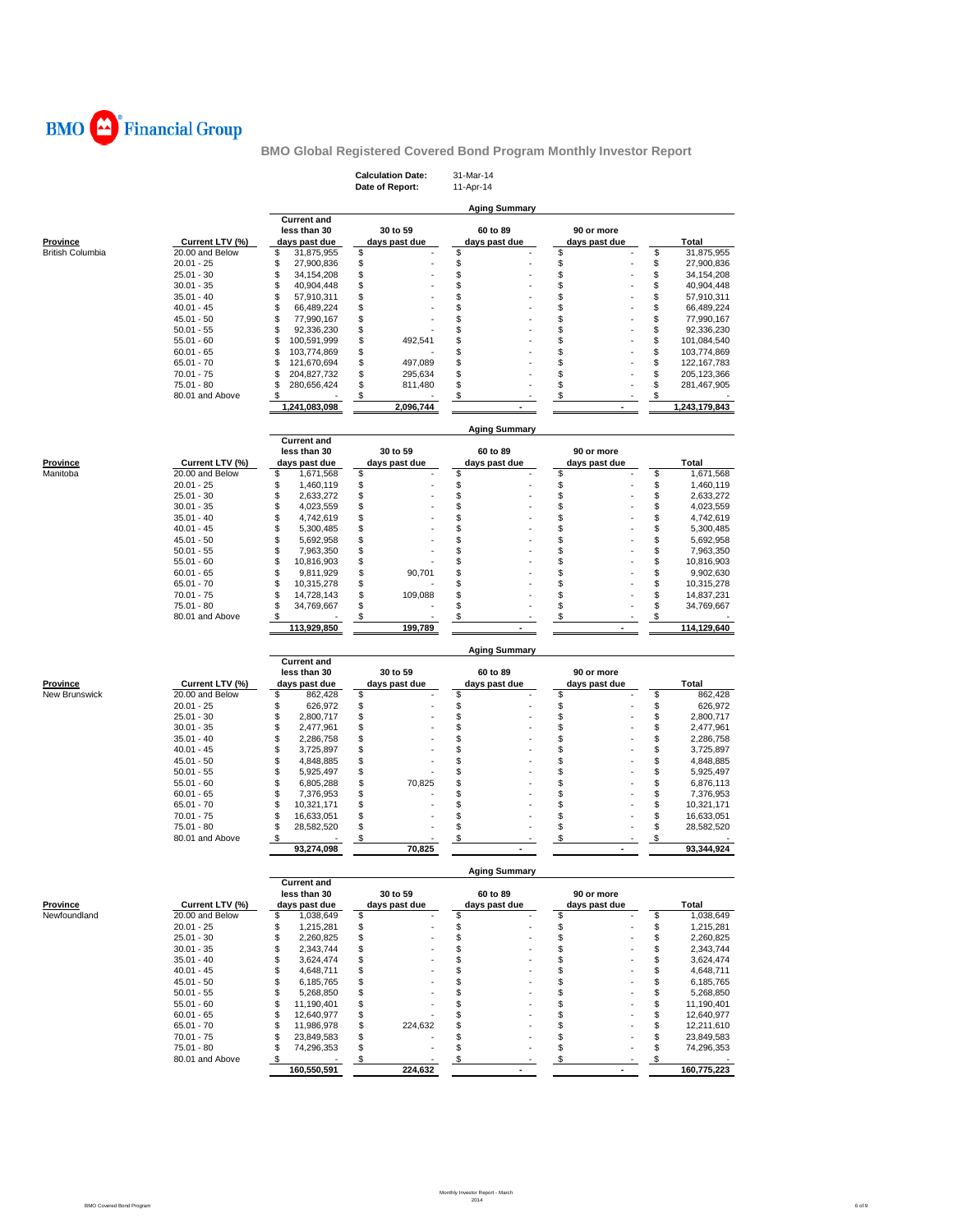

|                                  |                              |                                      | <b>Calculation Date:</b><br>Date of Report: | 31-Mar-14<br>11-Apr-14    |                             |          |                              |
|----------------------------------|------------------------------|--------------------------------------|---------------------------------------------|---------------------------|-----------------------------|----------|------------------------------|
|                                  |                              |                                      |                                             |                           |                             |          |                              |
|                                  |                              |                                      |                                             | <b>Aging Summary</b>      |                             |          |                              |
|                                  |                              | <b>Current and</b><br>less than 30   | 30 to 59                                    | 60 to 89                  | 90 or more                  |          |                              |
| <u>Province</u>                  | Current LTV (%)              | days past due                        | days past due                               | days past due             | days past due               |          | Total                        |
| British Columbia                 | 20.00 and Below              | \$<br>31,875,955                     | \$                                          | \$                        | \$                          | \$       | 31,875,955                   |
|                                  | $20.01 - 25$                 | \$<br>27,900,836                     | \$                                          | \$                        | \$                          | \$       | 27,900,836                   |
|                                  | $25.01 - 30$                 | \$<br>34, 154, 208                   | \$                                          |                           | \$                          | \$       | 34,154,208                   |
|                                  | $30.01 - 35$<br>$35.01 - 40$ | \$<br>40,904,448<br>\$<br>57,910,311 | \$<br>\$                                    | \$<br>\$                  | \$<br>\$                    | \$<br>\$ | 40,904,448<br>57,910,311     |
|                                  | $40.01 - 45$                 | \$<br>66,489,224                     | \$                                          | \$                        | \$                          | \$       | 66,489,224                   |
|                                  | $45.01 - 50$                 | \$<br>77,990,167                     | \$                                          | \$                        | \$                          | \$       | 77,990,167                   |
|                                  | $50.01 - 55$                 | \$<br>92,336,230                     | \$                                          | \$                        | \$                          | \$       | 92,336,230                   |
|                                  | $55.01 - 60$                 | \$<br>100,591,999                    | \$<br>492,541                               | \$                        | \$                          | \$       | 101,084,540                  |
|                                  | $60.01 - 65$<br>$65.01 - 70$ | \$<br>103,774,869<br>\$              | \$<br>\$<br>497,089                         | \$<br>\$                  | \$<br>\$                    | \$<br>\$ | 103,774,869                  |
|                                  | $70.01 - 75$                 | 121,670,694<br>\$<br>204,827,732     | \$<br>295,634                               | \$                        | \$                          | \$       | 122, 167, 783<br>205,123,366 |
|                                  | $75.01 - 80$                 | \$<br>280,656,424                    | \$<br>811,480                               | \$                        | \$                          | \$       | 281,467,905                  |
|                                  | 80.01 and Above              | \$                                   | \$                                          | \$                        | \$                          | \$       |                              |
|                                  |                              | 1,241,083,098                        | 2,096,744                                   |                           |                             |          | 1,243,179,843                |
|                                  |                              |                                      |                                             | <b>Aging Summary</b>      |                             |          |                              |
|                                  |                              | <b>Current and</b><br>less than 30   | 30 to 59                                    | 60 to 89                  | 90 or more                  |          |                              |
| <u>Province</u>                  | Current LTV (%)              | days past due                        | days past due                               | days past due             | days past due               |          | Total                        |
| Manitoba                         | 20.00 and Below              | \$<br>1,671,568                      | \$                                          | \$                        | \$                          | \$       | 1,671,568                    |
|                                  | $20.01 - 25$                 | \$<br>1,460,119                      | \$                                          | \$                        | \$                          | \$       | 1,460,119                    |
|                                  | $25.01 - 30$                 | \$<br>2,633,272                      | \$                                          | \$                        | \$                          | \$       | 2,633,272                    |
|                                  | $30.01 - 35$                 | \$<br>4,023,559                      | \$                                          | \$                        | \$                          | \$       | 4,023,559                    |
|                                  | $35.01 - 40$                 | \$<br>4,742,619<br>\$                | \$<br>\$                                    | \$<br>\$                  | \$<br>\$                    | \$<br>\$ | 4,742,619                    |
|                                  | $40.01 - 45$<br>$45.01 - 50$ | 5,300,485<br>\$<br>5,692,958         | \$                                          | \$                        | \$                          | \$       | 5,300,485<br>5,692,958       |
|                                  | $50.01 - 55$                 | \$<br>7,963,350                      | \$                                          | \$                        | \$                          | \$       | 7,963,350                    |
|                                  | $55.01 - 60$                 | \$<br>10,816,903                     | \$                                          | \$                        | \$                          | \$       | 10,816,903                   |
|                                  | $60.01 - 65$                 | \$<br>9,811,929                      | \$<br>90,701                                | \$                        | \$                          | \$       | 9,902,630                    |
|                                  | $65.01 - 70$                 | \$<br>10,315,278                     | \$                                          | \$                        | \$                          | \$       | 10,315,278                   |
|                                  | $70.01 - 75$<br>$75.01 - 80$ | \$<br>14,728,143<br>\$<br>34,769,667 | \$<br>109,088<br>\$                         | \$<br>\$                  | \$<br>\$                    | \$<br>\$ | 14,837,231<br>34,769,667     |
|                                  | 80.01 and Above              | \$                                   | \$                                          | \$                        | \$                          | \$       |                              |
|                                  |                              | 113,929,850                          | 199,789                                     |                           |                             |          | 114,129,640                  |
|                                  |                              |                                      |                                             | <b>Aging Summary</b>      |                             |          |                              |
|                                  |                              | <b>Current and</b>                   |                                             |                           |                             |          |                              |
|                                  | Current LTV (%)              | less than 30<br>days past due        | 30 to 59                                    | 60 to 89<br>days past due | 90 or more<br>days past due |          | Total                        |
| <u>Province</u><br>New Brunswick | 20.00 and Below              | \$<br>862,428                        | days past due<br>\$                         | \$                        | \$                          | \$       | 862,428                      |
|                                  | $20.01 - 25$                 | \$<br>626,972                        | \$                                          | \$                        | \$                          | \$       | 626,972                      |
|                                  | $25.01 - 30$                 | \$<br>2,800,717                      | \$                                          | \$                        | \$                          | \$       | 2,800,717                    |
|                                  | $30.01 - 35$                 | \$<br>2,477,961                      | \$                                          | \$                        | \$                          | \$       | 2,477,961                    |
|                                  | $35.01 - 40$                 | \$<br>2,286,758                      | \$                                          | \$                        | \$                          | \$       | 2,286,758                    |
|                                  | $40.01 - 45$<br>$45.01 - 50$ | \$<br>3,725,897<br>\$<br>4,848,885   | \$<br>\$                                    | \$<br>\$                  | \$<br>\$                    | \$<br>\$ | 3,725,897<br>4,848,885       |
|                                  | $50.01 - 55$                 | \$<br>5,925,497                      | \$                                          | \$                        | \$                          | \$       | 5,925,497                    |
|                                  | $55.01 - 60$                 | \$<br>6,805,288                      | \$<br>70,825                                | \$                        | \$                          | \$       | 6,876,113                    |
|                                  | $60.01 - 65$                 | \$<br>7,376,953                      | \$                                          | \$                        | \$                          | \$       | 7,376,953                    |
|                                  | $65.01 - 70$                 | \$<br>10,321,171                     | \$                                          | \$                        | \$                          | \$       | 10,321,171                   |
|                                  | $70.01 - 75$<br>75.01 - 80   | \$<br>16,633,051<br>\$<br>28,582,520 | \$<br>\$                                    | \$<br>\$                  | \$<br>\$                    | \$<br>\$ | 16,633,051<br>28,582,520     |
|                                  | 80.01 and Above              | \$                                   | \$                                          | \$                        | \$                          | \$       |                              |
|                                  |                              | 93,274,098                           | 70,825                                      |                           |                             |          | 93,344,924                   |
|                                  |                              |                                      |                                             | <b>Aging Summary</b>      |                             |          |                              |
|                                  |                              | <b>Current and</b><br>less than 30   | 30 to 59                                    | 60 to 89                  | 90 or more                  |          |                              |
| Province                         | Current LTV (%)              | days past due                        | days past due                               | days past due             | days past due               |          | Total                        |
| Newfoundland                     | 20.00 and Below              | \$<br>1,038,649                      | \$                                          | \$                        | \$                          | \$       | 1,038,649                    |
|                                  | $20.01 - 25$<br>$25.01 - 30$ | \$<br>1,215,281<br>\$<br>2,260,825   | \$<br>\$                                    | \$<br>\$                  | \$<br>\$                    | \$<br>\$ | 1,215,281                    |
|                                  | $30.01 - 35$                 | \$<br>2,343,744                      | \$                                          | \$                        | \$                          | \$       | 2,260,825<br>2,343,744       |
|                                  | $35.01 - 40$                 | \$<br>3,624,474                      | \$                                          | \$                        | \$                          | \$       | 3,624,474                    |
|                                  | $40.01 - 45$                 | \$<br>4,648,711                      | \$                                          | \$                        | \$                          | \$       | 4,648,711                    |
|                                  | $45.01 - 50$                 | \$<br>6,185,765                      | \$                                          | \$                        | \$                          | \$       | 6,185,765                    |
|                                  | $50.01 - 55$                 | \$<br>5,268,850                      | \$                                          | \$                        | \$                          | \$       | 5,268,850                    |
|                                  | $55.01 - 60$                 | \$<br>11,190,401                     | \$                                          | \$                        | \$                          | \$       | 11,190,401                   |
|                                  | $60.01 - 65$<br>$65.01 - 70$ | \$<br>12,640,977<br>\$<br>11,986,978 | \$<br>\$<br>224,632                         | \$<br>\$                  | \$<br>\$                    | \$<br>\$ | 12,640,977<br>12,211,610     |
|                                  | $70.01 - 75$                 | \$<br>23,849,583                     | \$                                          | \$                        | \$                          | \$       | 23,849,583                   |
|                                  | 75.01 - 80                   | \$<br>74,296,353                     | \$                                          | \$                        | \$                          | \$       | 74,296,353                   |
|                                  | 80.01 and Above              | \$                                   | \$                                          | \$                        | \$                          | \$       |                              |
|                                  |                              | 160,550,591                          | 224,632                                     | $\blacksquare$            | $\blacksquare$              |          | 160,775,223                  |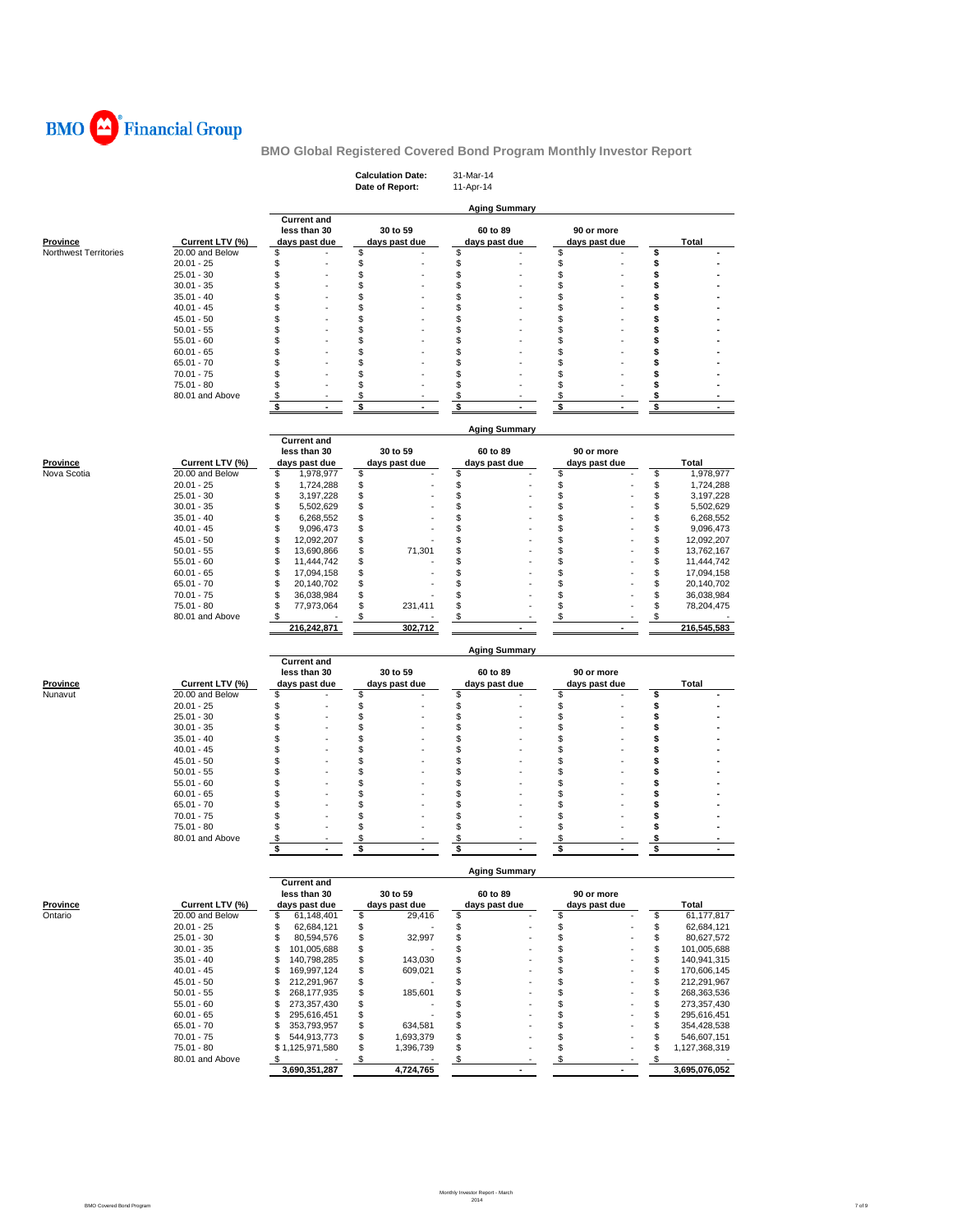

|                              |                                 |                                            | <b>Calculation Date:</b><br>Date of Report: |                           | 31-Mar-14<br>11-Apr-14 |                           |          |                             |          |                            |  |  |  |  |  |
|------------------------------|---------------------------------|--------------------------------------------|---------------------------------------------|---------------------------|------------------------|---------------------------|----------|-----------------------------|----------|----------------------------|--|--|--|--|--|
|                              |                                 |                                            |                                             |                           |                        |                           |          |                             |          |                            |  |  |  |  |  |
|                              |                                 | <b>Current and</b>                         |                                             |                           |                        | <b>Aging Summary</b>      |          |                             |          |                            |  |  |  |  |  |
|                              |                                 | less than 30                               |                                             | 30 to 59                  |                        | 60 to 89                  |          | 90 or more                  |          |                            |  |  |  |  |  |
| Province                     | Current LTV (%)                 | days past due                              |                                             | days past due             |                        | days past due             |          | days past due               |          | <b>Total</b>               |  |  |  |  |  |
| <b>Northwest Territories</b> | 20.00 and Below<br>$20.01 - 25$ | \$<br>\$                                   | \$<br>\$                                    |                           | \$<br>\$               |                           | \$<br>\$ |                             | \$<br>\$ |                            |  |  |  |  |  |
|                              | $25.01 - 30$                    | \$                                         | \$                                          |                           | \$                     |                           | \$       |                             | \$       |                            |  |  |  |  |  |
|                              | $30.01 - 35$                    | \$                                         | \$                                          |                           | \$                     |                           | \$       |                             | \$       |                            |  |  |  |  |  |
|                              | $35.01 - 40$                    | \$                                         | \$                                          |                           | \$                     |                           | \$       |                             | \$       |                            |  |  |  |  |  |
|                              | $40.01 - 45$                    | \$<br>\$                                   | \$<br>\$                                    |                           | \$<br>\$               |                           | \$<br>\$ |                             | \$<br>\$ |                            |  |  |  |  |  |
|                              | 45.01 - 50<br>$50.01 - 55$      | \$                                         | \$                                          |                           | \$                     |                           | \$       |                             | \$       |                            |  |  |  |  |  |
|                              | $55.01 - 60$                    | \$                                         | \$                                          |                           | \$                     |                           | \$       |                             | \$       |                            |  |  |  |  |  |
|                              | $60.01 - 65$                    | \$                                         | \$                                          |                           | \$                     |                           | \$       |                             | \$       |                            |  |  |  |  |  |
|                              | $65.01 - 70$                    | \$                                         | \$                                          |                           | \$                     |                           | \$       |                             | Ŝ        |                            |  |  |  |  |  |
|                              | 70.01 - 75                      | \$                                         | \$                                          |                           | \$                     |                           | \$       |                             | \$       |                            |  |  |  |  |  |
|                              | 75.01 - 80<br>80.01 and Above   | \$<br>\$                                   | \$<br>\$                                    |                           | \$<br>\$               |                           | \$<br>\$ |                             | \$<br>\$ |                            |  |  |  |  |  |
|                              |                                 | \$                                         | \$                                          |                           | \$                     |                           | \$       |                             | \$       |                            |  |  |  |  |  |
|                              |                                 |                                            |                                             |                           |                        |                           |          |                             |          |                            |  |  |  |  |  |
|                              |                                 | <b>Current and</b>                         |                                             |                           |                        | <b>Aging Summary</b>      |          |                             |          |                            |  |  |  |  |  |
|                              |                                 | less than 30                               |                                             | 30 to 59                  |                        | 60 to 89                  |          | 90 or more                  |          |                            |  |  |  |  |  |
| <b>Province</b>              | Current LTV (%)                 | days past due                              |                                             | days past due             |                        | days past due             |          | days past due               |          | Total                      |  |  |  |  |  |
| Nova Scotia                  | 20.00 and Below                 | \$<br>1,978,977                            | \$                                          |                           | \$                     |                           | \$       |                             | \$       | 1,978,977                  |  |  |  |  |  |
|                              | $20.01 - 25$                    | \$<br>1,724,288                            | \$                                          |                           | \$                     |                           | \$       |                             | \$       | 1,724,288                  |  |  |  |  |  |
|                              | $25.01 - 30$<br>$30.01 - 35$    | \$<br>3,197,228<br>\$<br>5,502,629         | \$<br>\$                                    |                           | \$<br>\$               |                           | \$<br>\$ |                             | \$<br>\$ | 3,197,228<br>5,502,629     |  |  |  |  |  |
|                              | $35.01 - 40$                    | \$<br>6,268,552                            | \$                                          |                           | \$                     |                           | \$       |                             | \$       | 6,268,552                  |  |  |  |  |  |
|                              | $40.01 - 45$                    | \$<br>9,096,473                            | \$                                          |                           | \$                     |                           | \$       |                             | \$       | 9,096,473                  |  |  |  |  |  |
|                              | $45.01 - 50$                    | \$<br>12,092,207                           | \$                                          |                           | \$                     |                           | \$       |                             | \$       | 12,092,207                 |  |  |  |  |  |
|                              | $50.01 - 55$                    | \$<br>13,690,866                           | \$                                          | 71,301                    | \$                     |                           | \$       |                             | \$       | 13,762,167                 |  |  |  |  |  |
|                              | $55.01 - 60$                    | \$<br>11,444,742                           | \$                                          |                           | \$                     |                           | \$       |                             | \$       | 11,444,742                 |  |  |  |  |  |
|                              | $60.01 - 65$<br>65.01 - 70      | \$<br>17,094,158<br>\$<br>20,140,702       | \$<br>\$                                    |                           | \$<br>\$               |                           | \$<br>\$ |                             | \$<br>\$ | 17,094,158<br>20,140,702   |  |  |  |  |  |
|                              | $70.01 - 75$                    | \$<br>36,038,984                           | \$                                          |                           | \$                     |                           | \$       |                             | \$       | 36,038,984                 |  |  |  |  |  |
|                              | $75.01 - 80$                    | \$<br>77,973,064                           | \$                                          | 231,411                   | \$                     |                           | \$       |                             | \$       | 78,204,475                 |  |  |  |  |  |
|                              | 80.01 and Above                 | \$                                         | \$                                          |                           | S                      |                           | \$       |                             | \$       |                            |  |  |  |  |  |
|                              |                                 | 216,242,871                                |                                             | 302,712                   |                        |                           |          |                             |          | 216,545,583                |  |  |  |  |  |
|                              |                                 | <b>Aging Summary</b><br><b>Current and</b> |                                             |                           |                        |                           |          |                             |          |                            |  |  |  |  |  |
|                              |                                 | less than 30                               |                                             | 30 to 59                  |                        | 60 to 89                  |          | 90 or more                  |          |                            |  |  |  |  |  |
| <b>Province</b>              | Current LTV (%)                 | days past due                              |                                             | days past due             |                        | days past due             |          | days past due               |          | Total                      |  |  |  |  |  |
| Nunavut                      | 20.00 and Below<br>$20.01 - 25$ | \$<br>\$                                   | \$<br>\$                                    |                           | \$<br>\$               |                           | \$<br>\$ |                             | \$<br>\$ |                            |  |  |  |  |  |
|                              | $25.01 - 30$                    | \$                                         | \$                                          |                           | \$                     |                           | \$       |                             | \$       |                            |  |  |  |  |  |
|                              | $30.01 - 35$                    | \$                                         | \$                                          |                           | \$                     |                           | \$       |                             | \$       |                            |  |  |  |  |  |
|                              | $35.01 - 40$                    | \$                                         | \$                                          |                           | \$                     |                           | \$       |                             | \$       |                            |  |  |  |  |  |
|                              | $40.01 - 45$                    | \$                                         | \$                                          |                           | \$                     |                           | \$       |                             | \$       |                            |  |  |  |  |  |
|                              | 45.01 - 50<br>$50.01 - 55$      | \$<br>\$                                   | \$<br>\$                                    |                           | \$<br>\$               |                           | \$<br>\$ |                             | \$<br>\$ |                            |  |  |  |  |  |
|                              | $55.01 - 60$                    | \$                                         | \$                                          |                           | \$                     |                           | \$       |                             | Ŝ        |                            |  |  |  |  |  |
|                              | $60.01 - 65$                    | \$                                         | \$                                          |                           | \$                     |                           | \$       |                             | \$       |                            |  |  |  |  |  |
|                              | $65.01 - 70$                    | \$                                         | \$                                          |                           | \$                     |                           | \$       |                             | \$       |                            |  |  |  |  |  |
|                              | $70.01 - 75$                    | \$                                         | \$                                          |                           | \$                     |                           | \$       |                             | \$       |                            |  |  |  |  |  |
|                              | 75.01 - 80<br>80.01 and Above   | \$<br>S                                    | \$<br>\$                                    |                           | \$<br>\$               |                           | \$<br>\$ |                             | \$<br>\$ |                            |  |  |  |  |  |
|                              |                                 | \$<br>$\overline{\phantom{a}}$             | \$                                          | $\overline{\phantom{a}}$  | \$                     | $\overline{\phantom{a}}$  | \$       | $\overline{\phantom{a}}$    | \$       | $\overline{\phantom{a}}$   |  |  |  |  |  |
|                              |                                 |                                            |                                             |                           |                        | Aging Summar              |          |                             |          |                            |  |  |  |  |  |
|                              |                                 | <b>Current and</b>                         |                                             |                           |                        |                           |          |                             |          |                            |  |  |  |  |  |
| <b>Province</b>              | Current LTV (%)                 | less than 30<br>days past due              |                                             | 30 to 59<br>days past due |                        | 60 to 89<br>days past due |          | 90 or more<br>days past due |          | Total                      |  |  |  |  |  |
| Ontario                      | 20.00 and Below                 | \$<br>61,148,401                           | \$                                          | 29,416                    | \$                     |                           | \$       |                             | \$       | 61,177,817                 |  |  |  |  |  |
|                              | $20.01 - 25$                    | \$<br>62,684,121                           | \$                                          |                           | \$                     |                           | \$       |                             | \$       | 62,684,121                 |  |  |  |  |  |
|                              | $25.01 - 30$                    | \$<br>80,594,576                           | \$                                          | 32,997                    | \$                     |                           | \$       |                             | \$       | 80,627,572                 |  |  |  |  |  |
|                              | $30.01 - 35$                    | \$<br>101,005,688                          | \$                                          |                           | \$                     |                           | \$       |                             | \$       | 101,005,688                |  |  |  |  |  |
|                              | $35.01 - 40$                    | \$<br>140,798,285                          | \$                                          | 143,030                   | \$                     |                           | \$       |                             | \$       | 140,941,315                |  |  |  |  |  |
|                              | $40.01 - 45$<br>$45.01 - 50$    | \$<br>169,997,124<br>212,291,967<br>\$     | \$<br>\$                                    | 609,021                   | \$<br>\$               |                           | \$<br>\$ |                             | \$<br>\$ | 170,606,145<br>212,291,967 |  |  |  |  |  |
|                              | $50.01 - 55$                    | \$<br>268, 177, 935                        | \$                                          | 185,601                   | \$                     |                           | \$       |                             | \$       | 268,363,536                |  |  |  |  |  |
|                              | $55.01 - 60$                    | \$<br>273,357,430                          | \$                                          |                           | \$                     |                           | \$       |                             | \$       | 273,357,430                |  |  |  |  |  |
|                              | $60.01 - 65$                    | \$<br>295,616,451                          | \$                                          |                           | \$                     |                           | \$       |                             | \$       | 295,616,451                |  |  |  |  |  |
|                              | $65.01 - 70$                    | \$<br>353,793,957                          | \$                                          | 634,581                   | \$                     |                           | \$       |                             | \$       | 354,428,538                |  |  |  |  |  |
|                              | $70.01 - 75$                    | \$<br>544,913,773                          | \$                                          | 1,693,379                 | \$<br>\$               |                           | \$<br>\$ |                             | \$       | 546,607,151                |  |  |  |  |  |
|                              | 75.01 - 80<br>80.01 and Above   | \$1,125,971,580<br>S                       | \$<br>\$                                    | 1,396,739                 | \$                     |                           | \$       |                             | \$<br>\$ | 1,127,368,319              |  |  |  |  |  |
|                              |                                 | 3,690,351,287                              |                                             | 4,724,765                 |                        | $\blacksquare$            |          | ٠                           |          | 3,695,076,052              |  |  |  |  |  |
|                              |                                 |                                            |                                             |                           |                        |                           |          |                             |          |                            |  |  |  |  |  |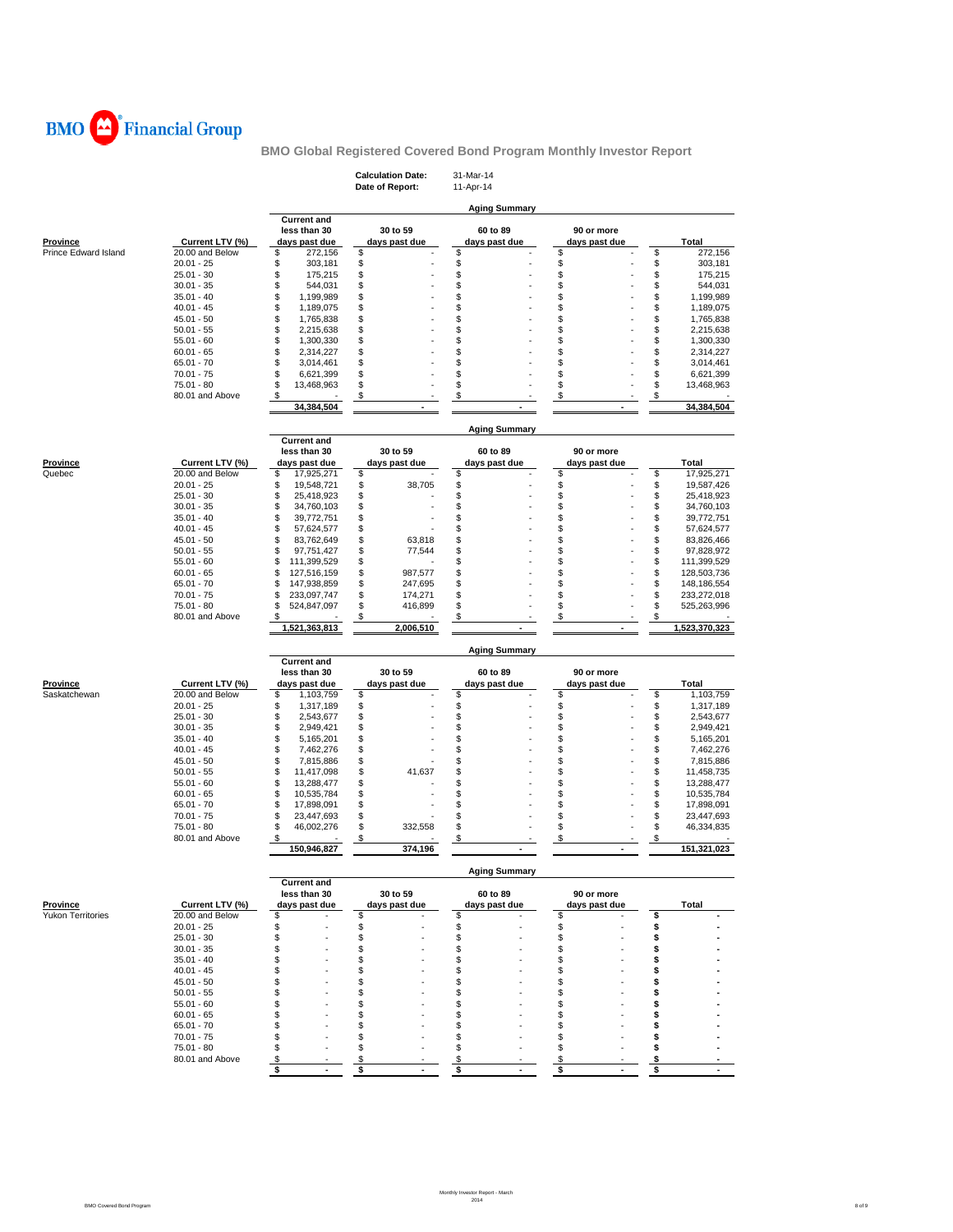

|                             |                 |                                    | <b>Calculation Date:</b>  | 31-Mar-14                         |                             |                   |  |
|-----------------------------|-----------------|------------------------------------|---------------------------|-----------------------------------|-----------------------------|-------------------|--|
|                             |                 |                                    | Date of Report:           | 11-Apr-14<br><b>Aging Summary</b> |                             |                   |  |
|                             |                 | <b>Current and</b>                 |                           |                                   |                             |                   |  |
| Province                    | Current LTV (%) | less than 30<br>days past due      | 30 to 59<br>days past due | 60 to 89<br>days past due         | 90 or more<br>days past due | <b>Total</b>      |  |
| <b>Prince Edward Island</b> | 20.00 and Below | \$<br>272,156                      | \$                        | \$                                | \$                          | \$<br>272,156     |  |
|                             | $20.01 - 25$    | \$<br>303,181                      | \$                        | \$                                | \$                          | \$<br>303,181     |  |
|                             | $25.01 - 30$    | \$<br>175,215                      | \$                        | \$                                | \$                          | \$<br>175,215     |  |
|                             | $30.01 - 35$    | \$<br>544,031                      | \$                        | \$                                | \$                          | \$<br>544,031     |  |
|                             | $35.01 - 40$    | \$<br>1,199,989                    | \$                        | \$                                | \$                          | \$<br>1,199,989   |  |
|                             | $40.01 - 45$    | \$<br>1,189,075                    | \$                        | \$                                | \$                          | \$<br>1,189,075   |  |
|                             | 45.01 - 50      | \$<br>1,765,838                    | \$                        | \$                                | \$                          | \$<br>1,765,838   |  |
|                             | $50.01 - 55$    | \$<br>2,215,638                    | \$                        | \$                                | \$                          | \$<br>2,215,638   |  |
|                             | $55.01 - 60$    | \$<br>1,300,330                    | \$                        | \$                                | \$                          | \$<br>1,300,330   |  |
|                             | $60.01 - 65$    | \$<br>2,314,227                    | \$                        | \$                                | \$                          | \$<br>2,314,227   |  |
|                             | $65.01 - 70$    | \$<br>3,014,461                    | \$                        | \$                                | \$                          | \$<br>3,014,461   |  |
|                             | $70.01 - 75$    | \$<br>6,621,399                    | \$                        | \$                                | \$                          | \$<br>6,621,399   |  |
|                             | 75.01 - 80      | \$<br>13,468,963                   | \$                        | \$                                | \$                          | \$<br>13,468,963  |  |
|                             | 80.01 and Above | \$                                 | \$                        | \$                                | \$                          | \$                |  |
|                             |                 | 34,384,504                         |                           |                                   |                             | 34,384,504        |  |
|                             |                 |                                    |                           | <b>Aging Summary</b>              |                             |                   |  |
|                             |                 | <b>Current and</b><br>less than 30 | 30 to 59                  | 60 to 89                          | 90 or more                  |                   |  |
| <b>Province</b>             | Current LTV (%) | days past due                      | days past due             | days past due                     | days past due               | Total             |  |
| Quebec                      | 20.00 and Below | \$<br>17,925,271                   | \$                        | \$                                | \$                          | \$<br>17,925,271  |  |
|                             | $20.01 - 25$    | \$<br>19,548,721                   | \$<br>38,705              | \$                                | \$                          | \$<br>19,587,426  |  |
|                             | $25.01 - 30$    | \$<br>25,418,923                   | \$                        | \$                                | \$                          | \$<br>25,418,923  |  |
|                             | $30.01 - 35$    | \$<br>34,760,103                   | \$                        | \$                                | \$                          | \$<br>34,760,103  |  |
|                             | $35.01 - 40$    | \$<br>39,772,751                   | \$                        | \$                                | \$                          | \$<br>39,772,751  |  |
|                             | $40.01 - 45$    | \$<br>57,624,577                   | \$                        | \$                                | \$                          | \$<br>57,624,577  |  |
|                             | $45.01 - 50$    | \$<br>83,762,649                   | \$<br>63,818              | \$                                | \$                          | \$<br>83,826,466  |  |
|                             | $50.01 - 55$    | \$<br>97,751,427                   | \$<br>77,544              | \$                                | \$                          | \$<br>97,828,972  |  |
|                             | $55.01 - 60$    | \$<br>111,399,529                  | \$                        | \$                                | \$                          | \$<br>111,399,529 |  |
|                             | $60.01 - 65$    | \$<br>127,516,159                  | \$<br>987,577             | \$                                | \$                          | \$<br>128,503,736 |  |
|                             | $65.01 - 70$    | \$<br>147,938,859                  | \$<br>247,695             | \$                                | \$                          | \$<br>148,186,554 |  |
|                             | $70.01 - 75$    | \$<br>233,097,747                  | \$<br>174,271             | \$                                | \$                          | \$<br>233,272,018 |  |
|                             | $75.01 - 80$    | \$<br>524,847,097                  | \$<br>416,899             | \$                                | \$                          | \$<br>525,263,996 |  |
|                             | 80.01 and Above | \$                                 | \$                        | \$                                | \$                          | \$                |  |
|                             |                 | 1,521,363,813                      | 2,006,510                 |                                   |                             | 1,523,370,323     |  |
|                             |                 | <b>Current and</b>                 |                           | <b>Aging Summary</b>              |                             |                   |  |
|                             |                 | less than 30                       | 30 to 59                  | 60 to 89                          | 90 or more                  |                   |  |
| Province                    | Current LTV (%) | days past due                      | days past due             | days past due                     | days past due               | Total             |  |
| Saskatchewan                | 20.00 and Below | \$<br>1,103,759                    | \$                        | \$                                | \$                          | \$<br>1,103,759   |  |
|                             | $20.01 - 25$    | \$<br>1,317,189                    | \$                        | \$                                | \$                          | \$<br>1,317,189   |  |
|                             | $25.01 - 30$    | \$<br>2,543,677                    | \$                        | \$                                | \$                          | \$<br>2,543,677   |  |
|                             | $30.01 - 35$    | \$<br>2,949,421                    | \$                        | \$                                | \$                          | \$<br>2,949,421   |  |
|                             | $35.01 - 40$    | \$<br>5,165,201                    | \$                        | \$                                | \$                          | \$<br>5,165,201   |  |
|                             | $40.01 - 45$    | \$<br>7,462,276                    | \$                        | \$                                | \$                          | \$<br>7,462,276   |  |
|                             | 45.01 - 50      | \$<br>7,815,886                    | \$                        | \$                                | \$                          | \$<br>7,815,886   |  |
|                             | $50.01 - 55$    | \$<br>11,417,098                   | \$<br>41,637              | \$                                | \$                          | \$<br>11,458,735  |  |
|                             | $55.01 - 60$    | \$<br>13,288,477                   | \$                        | \$                                | \$                          | \$<br>13,288,477  |  |
|                             | $60.01 - 65$    | \$<br>10,535,784                   | \$                        | \$                                | \$                          | \$<br>10,535,784  |  |
|                             | $65.01 - 70$    | \$<br>17,898,091                   | \$                        | \$                                | \$                          | \$<br>17,898,091  |  |
|                             | $70.01 - 75$    | \$<br>23,447,693                   | \$                        | \$                                | \$                          | \$<br>23,447,693  |  |
|                             | $75.01 - 80$    | \$<br>46,002,276                   | \$<br>332,558             | \$                                | \$                          | \$<br>46,334,835  |  |
|                             | 80.01 and Above | \$<br>150,946,827                  | \$<br>374,196             | \$                                | \$                          | \$<br>151,321,023 |  |
|                             |                 |                                    |                           | <b>Aging Summary</b>              |                             |                   |  |
|                             |                 | <b>Current and</b>                 |                           |                                   |                             |                   |  |
| Province                    | Current LTV (%) | less than 30<br>days past due      | 30 to 59<br>days past due | 60 to 89<br>days past due         | 90 or more<br>days past due | Total             |  |
| <b>Yukon Territories</b>    | 20.00 and Below | \$                                 | \$                        | \$                                | \$                          | \$                |  |
|                             | $20.01 - 25$    | \$                                 | \$                        | \$                                | \$                          | \$                |  |
|                             | $25.01 - 30$    | \$                                 | \$                        | \$                                | \$                          | \$                |  |
|                             | $30.01 - 35$    | \$                                 | \$                        | S                                 | \$                          | \$                |  |
|                             | $35.01 - 40$    | \$                                 | \$                        | \$                                | \$                          | \$                |  |
|                             | $40.01 - 45$    | \$                                 | \$                        | S                                 | \$                          | \$                |  |
|                             | $45.01 - 50$    | \$                                 | \$                        | \$                                | \$                          | \$                |  |
|                             | $50.01 - 55$    | \$                                 | \$                        | \$                                | \$                          | \$                |  |
|                             |                 |                                    |                           | \$                                | \$                          | \$                |  |
|                             | $55.01 - 60$    | \$                                 | \$                        |                                   |                             |                   |  |
|                             | $60.01 - 65$    | \$                                 | \$                        | \$                                | \$                          | \$                |  |
|                             | $65.01 - 70$    | \$                                 | \$                        | \$                                | \$                          | \$                |  |
|                             | $70.01 - 75$    | \$                                 | \$                        | \$                                | \$                          | \$                |  |
|                             | 75.01 - 80      | \$                                 | \$                        | \$                                | \$                          | \$                |  |
|                             | 80.01 and Above | \$<br>\$                           | \$<br>\$                  | \$<br>S                           | \$<br>\$                    | \$<br>\$          |  |